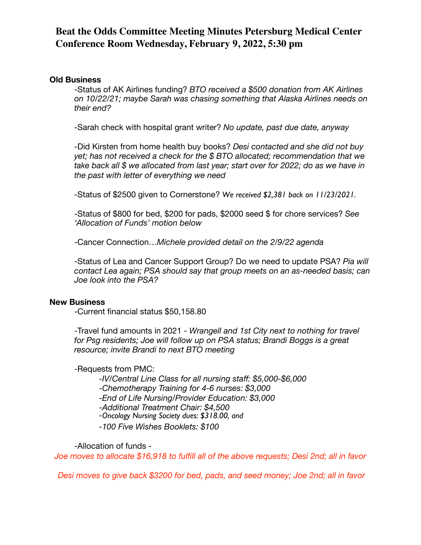#### **Old Business**

-Status of AK Airlines funding? *BTO received a \$500 donation from AK Airlines on 10/22/21; maybe Sarah was chasing something that Alaska Airlines needs on their end?*

-Sarah check with hospital grant writer? *No update, past due date, anyway*

-Did Kirsten from home health buy books? *Desi contacted and she did not buy yet; has not received a check for the \$ BTO allocated; recommendation that we take back all \$ we allocated from last year; start over for 2022; do as we have in the past with letter of everything we need*

-Status of \$2500 given to Cornerstone? *We received \$2,381 back on 11/23/2021.*

-Status of \$800 for bed, \$200 for pads, \$2000 seed \$ for chore services? *See 'Allocation of Funds' motion below*

-Cancer Connection…*Michele provided detail on the 2/9/22 agenda*

-Status of Lea and Cancer Support Group? Do we need to update PSA? *Pia will contact Lea again; PSA should say that group meets on an as-needed basis; can Joe look into the PSA?*

#### **New Business**

-Current financial status \$50,158.80

-Travel fund amounts in 2021 - *Wrangell and 1st City next to nothing for travel for Psg residents; Joe will follow up on PSA status; Brandi Boggs is a great resource; invite Brandi to next BTO meeting*

-Requests from PMC:

-*IV/Central Line Class for all nursing staff: \$5,000-\$6,000* -*Chemotherapy Training for 4-6 nurses: \$3,000* -*End of Life Nursing/Provider Education: \$3,000* -*Additional Treatment Chair: \$4,500* -*Oncology Nursing Society dues: \$318.00, and*

-*100 Five Wishes Booklets: \$100*

-Allocation of funds -

*Joe moves to allocate \$16,918 to fulfill all of the above requests; Desi 2nd; all in favor* 

 *Desi moves to give back \$3200 for bed, pads, and seed money; Joe 2nd; all in favor*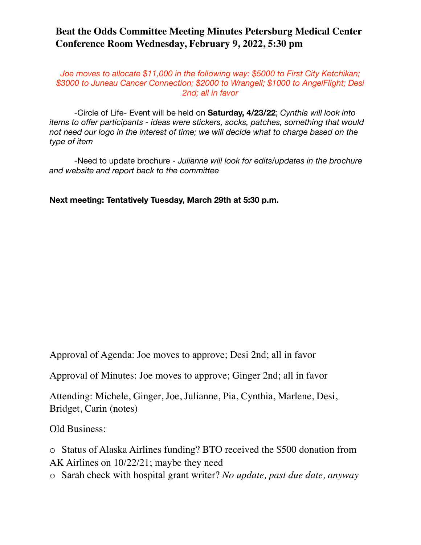*Joe moves to allocate \$11,000 in the following way: \$5000 to First City Ketchikan; \$3000 to Juneau Cancer Connection; \$2000 to Wrangell; \$1000 to AngelFlight; Desi 2nd; all in favor* 

-Circle of Life- Event will be held on **Saturday, 4/23/22**; *Cynthia will look into items to offer participants - ideas were stickers, socks, patches, something that would not need our logo in the interest of time; we will decide what to charge based on the type of item* 

-Need to update brochure - *Julianne will look for edits/updates in the brochure and website and report back to the committee*

**Next meeting: Tentatively Tuesday, March 29th at 5:30 p.m.** 

Approval of Agenda: Joe moves to approve; Desi 2nd; all in favor

Approval of Minutes: Joe moves to approve; Ginger 2nd; all in favor

Attending: Michele, Ginger, Joe, Julianne, Pia, Cynthia, Marlene, Desi, Bridget, Carin (notes)

Old Business:

o Status of Alaska Airlines funding? BTO received the \$500 donation from AK Airlines on 10/22/21; maybe they need

o Sarah check with hospital grant writer? *No update, past due date, anyway*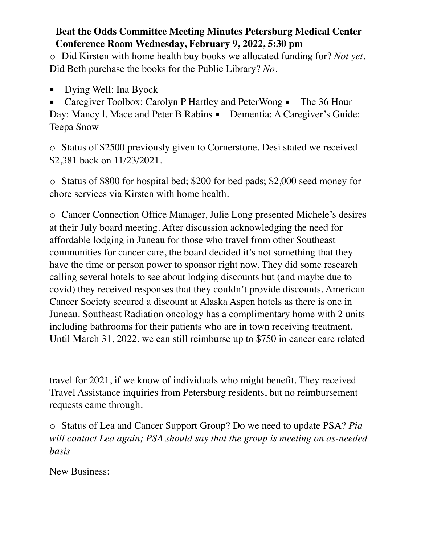o Did Kirsten with home health buy books we allocated funding for? *Not yet.*  Did Beth purchase the books for the Public Library? *No.*

Dying Well: Ina Byock

Caregiver Toolbox: Carolyn P Hartley and PeterWong • The 36 Hour Day: Mancy 1. Mace and Peter B Rabins · Dementia: A Caregiver's Guide: Teepa Snow

o Status of \$2500 previously given to Cornerstone. Desi stated we received \$2,381 back on 11/23/2021.

o Status of \$800 for hospital bed; \$200 for bed pads; \$2,000 seed money for chore services via Kirsten with home health.

o Cancer Connection Office Manager, Julie Long presented Michele's desires at their July board meeting. After discussion acknowledging the need for affordable lodging in Juneau for those who travel from other Southeast communities for cancer care, the board decided it's not something that they have the time or person power to sponsor right now. They did some research calling several hotels to see about lodging discounts but (and maybe due to covid) they received responses that they couldn't provide discounts. American Cancer Society secured a discount at Alaska Aspen hotels as there is one in Juneau. Southeast Radiation oncology has a complimentary home with 2 units including bathrooms for their patients who are in town receiving treatment. Until March 31, 2022, we can still reimburse up to \$750 in cancer care related

travel for 2021, if we know of individuals who might benefit. They received Travel Assistance inquiries from Petersburg residents, but no reimbursement requests came through.

o Status of Lea and Cancer Support Group? Do we need to update PSA? *Pia will contact Lea again; PSA should say that the group is meeting on as-needed basis*

New Business: